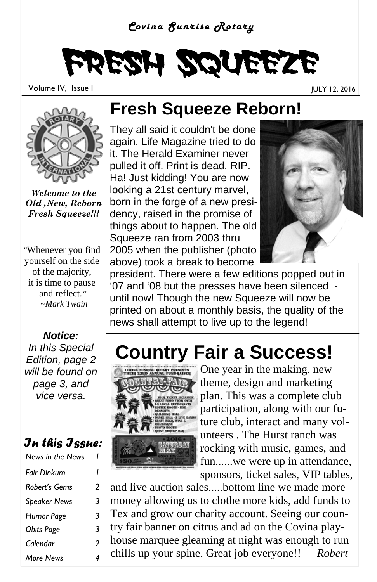#### *Covina Sunrise Rotary*

# Fresh Squeeze

Volume IV, Issue I JULY 12, 2016



*Welcome to the Old ,New, Reborn Fresh Squeeze!!!*

*"*Whenever you find yourself on the side of the majority, it is time to pause and reflect.*" ~Mark Twain* 

*Notice: In this Special Edition, page 2 will be found on page 3, and vice versa.* 

#### *In this Issue:*

| News in the News    |   |
|---------------------|---|
| <b>Fair Dinkum</b>  | ı |
| Robert's Gems       | 2 |
| <b>Speaker News</b> | 3 |
| Humor Page          | 3 |
| <b>Obits Page</b>   | 3 |
| Calendar            | 2 |
| More News           | 4 |

#### **Fresh Squeeze Reborn!**

They all said it couldn't be done again. Life Magazine tried to do it. The Herald Examiner never pulled it off. Print is dead. RIP. Ha! Just kidding! You are now looking a 21st century marvel, born in the forge of a new presidency, raised in the promise of things about to happen. The old Squeeze ran from 2003 thru 2005 when the publisher (photo above) took a break to become



president. There were a few editions popped out in '07 and '08 but the presses have been silenced until now! Though the new Squeeze will now be printed on about a monthly basis, the quality of the news shall attempt to live up to the legend!

## **Country Fair a Success!**



One year in the making, new theme, design and marketing plan. This was a complete club participation, along with our future club, interact and many volunteers . The Hurst ranch was rocking with music, games, and fun......we were up in attendance, sponsors, ticket sales, VIP tables,

and live auction sales.....bottom line we made more money allowing us to clothe more kids, add funds to Tex and grow our charity account. Seeing our country fair banner on citrus and ad on the Covina playhouse marquee gleaming at night was enough to run chills up your spine. Great job everyone!! *—Robert*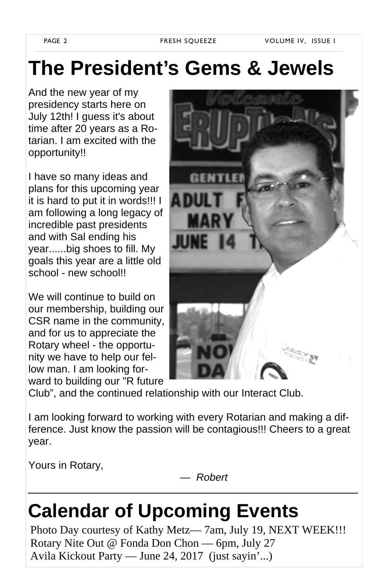PAGE 2 FRESH SQUEEZE VOLUME IV, ISSUE I

### **The President's Gems & Jewels**

And the new year of my presidency starts here on July 12th! I guess it's about time after 20 years as a Rotarian. I am excited with the opportunity!!

I have so many ideas and plans for this upcoming year it is hard to put it in words!!! I am following a long legacy of incredible past presidents and with Sal ending his year......big shoes to fill. My goals this year are a little old school - new school!!

We will continue to build on our membership, building our CSR name in the community, and for us to appreciate the Rotary wheel - the opportunity we have to help our fellow man. I am looking forward to building our "R future



Club", and the continued relationship with our Interact Club.

I am looking forward to working with every Rotarian and making a difference. Just know the passion will be contagious!!! Cheers to a great year.

Yours in Rotary,

*— Robert* 

### **Calendar of Upcoming Events**

Photo Day courtesy of Kathy Metz— 7am, July 19, NEXT WEEK!!! Rotary Nite Out @ Fonda Don Chon — 6pm, July 27 Avila Kickout Party — June 24, 2017 (just sayin'...)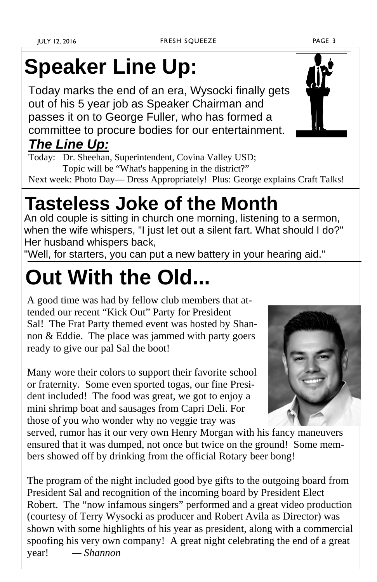# **Speaker Line Up:**

Today marks the end of an era, Wysocki finally gets out of his 5 year job as Speaker Chairman and passes it on to George Fuller, who has formed a committee to procure bodies for our entertainment.

#### *The Line Up:*

Today: Dr. Sheehan, Superintendent, Covina Valley USD; Topic will be "What's happening in the district?" Next week: Photo Day— Dress Appropriately! Plus: George explains Craft Talks!

### **Tasteless Joke of the Month**

An old couple is sitting in church one morning, listening to a sermon, when the wife whispers, "I just let out a silent fart. What should I do?" Her husband whispers back,

"Well, for starters, you can put a new battery in your hearing aid."

# **Out With the Old...**

A good time was had by fellow club members that attended our recent "Kick Out" Party for President Sal! The Frat Party themed event was hosted by Shannon & Eddie. The place was jammed with party goers ready to give our pal Sal the boot!

Many wore their colors to support their favorite school or fraternity. Some even sported togas, our fine President included! The food was great, we got to enjoy a mini shrimp boat and sausages from Capri Deli. For those of you who wonder why no veggie tray was

served, rumor has it our very own Henry Morgan with his fancy maneuvers ensured that it was dumped, not once but twice on the ground! Some members showed off by drinking from the official Rotary beer bong!

The program of the night included good bye gifts to the outgoing board from President Sal and recognition of the incoming board by President Elect Robert. The "now infamous singers" performed and a great video production (courtesy of Terry Wysocki as producer and Robert Avila as Director) was shown with some highlights of his year as president, along with a commercial spoofing his very own company! A great night celebrating the end of a great year! *— Shannon*